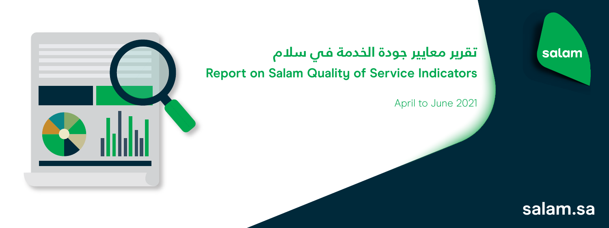

## **تقرير معايير جودة الخدمة في سلام Report on Salam Quality of Service Indicators**

April to June 2021

## salam

## **salam.sa**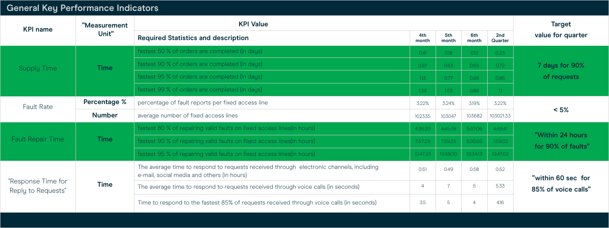## **General Key Performance Indicators**

| <b>KPI name</b>                          | "Measurement<br>Unit" | <b>KPI Value</b>                                                                                                                      |                |              |              |                | <b>Target</b>                             |
|------------------------------------------|-----------------------|---------------------------------------------------------------------------------------------------------------------------------------|----------------|--------------|--------------|----------------|-------------------------------------------|
|                                          |                       | <b>Required Statistics and description</b>                                                                                            | 4th<br>month   | 5th<br>month | 6th<br>month | 2nd<br>Quarter | value for quarter                         |
| <b>Supply Time</b>                       | <b>Time</b>           | fastest 50 % of orders are completed (in days)                                                                                        | 0.41           | 0.18         | 0.12         | 0.23           | 7 days for 90%<br>of requests             |
|                                          |                       | fastest 90 % of orders are completed (in days)                                                                                        | 0.97           | 0.63         | 0.55         | 0.72           |                                           |
|                                          |                       | fastest 95 % of orders are completed (in days)                                                                                        | 1.13           | 0.77         | 0.68         | 0.86           |                                           |
|                                          |                       | fastest 99 % of orders are completed (in days)                                                                                        | 1.39           | 1.03         | 0.86         | 11             |                                           |
| <b>Fault Rate</b>                        | <b>Percentage %</b>   | percentage of fault reports per fixed access line                                                                                     | 3.22%          | 3.24%        | 3.19%        | 3.22%          | $< 5\%$                                   |
|                                          | <b>Number</b>         | average number of fixed access lines                                                                                                  | 102335         | 103047       | 103682       | 103021.33      |                                           |
| <b>Fault Repair Time</b>                 | <b>Time</b>           | fastest 80 % of repairing valid faults on fixed access lines (in hours)                                                               | 4:36:20        | 4:45:38      | 5:07:06      | 4:49:41        | "Within 24 hours<br>for 90% of faults"    |
|                                          |                       | fastest 90 % of repairing valid faults on fixed access lines (in hours)                                                               | 7:57:29        | 7:59:35      | 8:00:03      | 7:59:02        |                                           |
|                                          |                       | fastest 95 % of repairing valid faults on fixed access lines (in hours)                                                               | 10:47:23       | 10:59:30     | 10:34:13     | 10:47:02       |                                           |
| "Response Time for<br>Reply to Requests" | <b>Time</b>           | The average time to respond to requests received through electronic channels, including<br>e-mail, social media and others (in hours) | 0:51           | 0:49         | 0:58         | 0:52           | "within 60 sec for<br>85% of voice calls" |
|                                          |                       | The average time to respond to requests received through voice calls (in seconds)                                                     | $\overline{4}$ |              | 5            | 5.33           |                                           |
|                                          |                       | Time to respond to the fastest 85% of requests received through voice calls (in seconds)                                              | 3.5            | 5            |              | 4.16           |                                           |